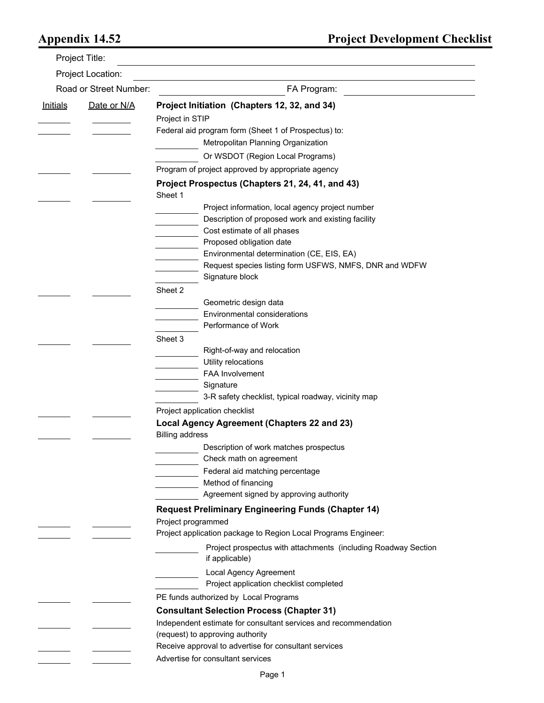|                        | Project Title:    |                                                                                  |
|------------------------|-------------------|----------------------------------------------------------------------------------|
|                        | Project Location: |                                                                                  |
| Road or Street Number: |                   | FA Program:                                                                      |
| <u>Initials</u>        | Date or N/A       | Project Initiation (Chapters 12, 32, and 34)                                     |
|                        |                   | Project in STIP                                                                  |
|                        |                   | Federal aid program form (Sheet 1 of Prospectus) to:                             |
|                        |                   | Metropolitan Planning Organization                                               |
|                        |                   | Or WSDOT (Region Local Programs)                                                 |
|                        |                   | Program of project approved by appropriate agency                                |
|                        |                   | Project Prospectus (Chapters 21, 24, 41, and 43)<br>Sheet 1                      |
|                        |                   | Project information, local agency project number                                 |
|                        |                   | Description of proposed work and existing facility                               |
|                        |                   | Cost estimate of all phases                                                      |
|                        |                   | Proposed obligation date                                                         |
|                        |                   | Environmental determination (CE, EIS, EA)                                        |
|                        |                   | Request species listing form USFWS, NMFS, DNR and WDFW                           |
|                        |                   | Signature block                                                                  |
|                        |                   | Sheet 2                                                                          |
|                        |                   | Geometric design data                                                            |
|                        |                   | Environmental considerations                                                     |
|                        |                   | Performance of Work                                                              |
|                        |                   | Sheet 3                                                                          |
|                        |                   | Right-of-way and relocation                                                      |
|                        |                   | Utility relocations<br>FAA Involvement                                           |
|                        |                   | Signature                                                                        |
|                        |                   | 3-R safety checklist, typical roadway, vicinity map                              |
|                        |                   | Project application checklist                                                    |
|                        |                   | Local Agency Agreement (Chapters 22 and 23)                                      |
|                        |                   | <b>Billing address</b>                                                           |
|                        |                   | Description of work matches prospectus                                           |
|                        |                   | Check math on agreement                                                          |
|                        |                   | Federal aid matching percentage                                                  |
|                        |                   | Method of financing                                                              |
|                        |                   | Agreement signed by approving authority                                          |
|                        |                   | <b>Request Preliminary Engineering Funds (Chapter 14)</b>                        |
|                        |                   | Project programmed                                                               |
|                        |                   | Project application package to Region Local Programs Engineer:                   |
|                        |                   | Project prospectus with attachments (including Roadway Section<br>if applicable) |
|                        |                   | <b>Local Agency Agreement</b><br>Project application checklist completed         |
|                        |                   | PE funds authorized by Local Programs                                            |
|                        |                   | <b>Consultant Selection Process (Chapter 31)</b>                                 |
|                        |                   | Independent estimate for consultant services and recommendation                  |
|                        |                   | (request) to approving authority                                                 |
|                        |                   | Receive approval to advertise for consultant services                            |
|                        |                   | Advertise for consultant services                                                |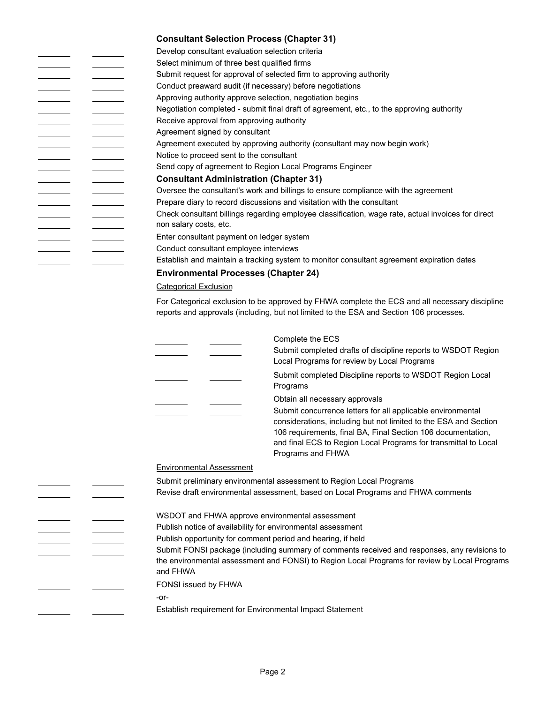|                          | <b>Consultant Selection Process (Chapter 31)</b>          |                                                                                                                                                                                                                                                                                         |
|--------------------------|-----------------------------------------------------------|-----------------------------------------------------------------------------------------------------------------------------------------------------------------------------------------------------------------------------------------------------------------------------------------|
|                          | Develop consultant evaluation selection criteria          |                                                                                                                                                                                                                                                                                         |
|                          | Select minimum of three best qualified firms              |                                                                                                                                                                                                                                                                                         |
|                          |                                                           | Submit request for approval of selected firm to approving authority                                                                                                                                                                                                                     |
|                          | Conduct preaward audit (if necessary) before negotiations |                                                                                                                                                                                                                                                                                         |
|                          | Approving authority approve selection, negotiation begins |                                                                                                                                                                                                                                                                                         |
|                          |                                                           | Negotiation completed - submit final draft of agreement, etc., to the approving authority                                                                                                                                                                                               |
|                          | Receive approval from approving authority                 |                                                                                                                                                                                                                                                                                         |
|                          | Agreement signed by consultant                            |                                                                                                                                                                                                                                                                                         |
|                          |                                                           | Agreement executed by approving authority (consultant may now begin work)                                                                                                                                                                                                               |
|                          | Notice to proceed sent to the consultant                  |                                                                                                                                                                                                                                                                                         |
|                          |                                                           | Send copy of agreement to Region Local Programs Engineer                                                                                                                                                                                                                                |
|                          | <b>Consultant Administration (Chapter 31)</b>             |                                                                                                                                                                                                                                                                                         |
|                          |                                                           | Oversee the consultant's work and billings to ensure compliance with the agreement                                                                                                                                                                                                      |
|                          |                                                           | Prepare diary to record discussions and visitation with the consultant                                                                                                                                                                                                                  |
|                          |                                                           | Check consultant billings regarding employee classification, wage rate, actual invoices for direct                                                                                                                                                                                      |
|                          | non salary costs, etc.                                    |                                                                                                                                                                                                                                                                                         |
|                          | Enter consultant payment on ledger system                 |                                                                                                                                                                                                                                                                                         |
| <u> London Communica</u> | Conduct consultant employee interviews                    |                                                                                                                                                                                                                                                                                         |
|                          |                                                           | Establish and maintain a tracking system to monitor consultant agreement expiration dates                                                                                                                                                                                               |
|                          | <b>Environmental Processes (Chapter 24)</b>               |                                                                                                                                                                                                                                                                                         |
|                          | <b>Categorical Exclusion</b>                              |                                                                                                                                                                                                                                                                                         |
|                          |                                                           |                                                                                                                                                                                                                                                                                         |
|                          |                                                           | For Categorical exclusion to be approved by FHWA complete the ECS and all necessary discipline<br>reports and approvals (including, but not limited to the ESA and Section 106 processes.                                                                                               |
|                          |                                                           | Complete the ECS                                                                                                                                                                                                                                                                        |
|                          |                                                           | Submit completed drafts of discipline reports to WSDOT Region<br>Local Programs for review by Local Programs                                                                                                                                                                            |
|                          |                                                           | Submit completed Discipline reports to WSDOT Region Local<br>Programs                                                                                                                                                                                                                   |
|                          |                                                           | Obtain all necessary approvals                                                                                                                                                                                                                                                          |
|                          |                                                           | Submit concurrence letters for all applicable environmental<br>considerations, including but not limited to the ESA and Section<br>106 requirements, final BA, Final Section 106 documentation,<br>and final ECS to Region Local Programs for transmittal to Local<br>Programs and FHWA |

## Environmental Assessment

|  | Submit preliminary environmental assessment to Region Local Programs                                                                                                                                      |
|--|-----------------------------------------------------------------------------------------------------------------------------------------------------------------------------------------------------------|
|  | Revise draft environmental assessment, based on Local Programs and FHWA comments                                                                                                                          |
|  | WSDOT and FHWA approve environmental assessment                                                                                                                                                           |
|  | Publish notice of availability for environmental assessment                                                                                                                                               |
|  | Publish opportunity for comment period and hearing, if held                                                                                                                                               |
|  | Submit FONSI package (including summary of comments received and responses, any revisions to<br>the environmental assessment and FONSI) to Region Local Programs for review by Local Programs<br>and FHWA |
|  | <b>FONSI</b> issued by FHWA                                                                                                                                                                               |
|  | -or-                                                                                                                                                                                                      |
|  | Establish requirement for Environmental Impact Statement                                                                                                                                                  |
|  |                                                                                                                                                                                                           |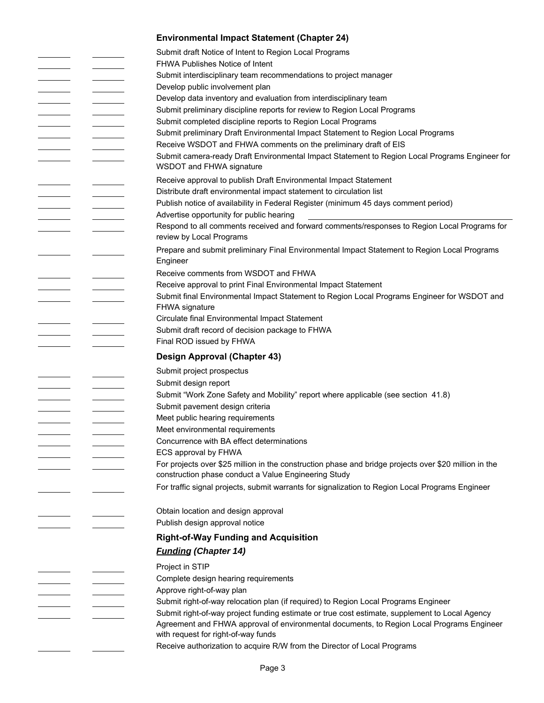|                                                                                                                                                                                                                                      |                                                                                                                                                                                                                                      | <b>Environmental Impact Statement (Chapter 24)</b>                                                                               |
|--------------------------------------------------------------------------------------------------------------------------------------------------------------------------------------------------------------------------------------|--------------------------------------------------------------------------------------------------------------------------------------------------------------------------------------------------------------------------------------|----------------------------------------------------------------------------------------------------------------------------------|
|                                                                                                                                                                                                                                      |                                                                                                                                                                                                                                      | Submit draft Notice of Intent to Region Local Programs                                                                           |
|                                                                                                                                                                                                                                      |                                                                                                                                                                                                                                      | FHWA Publishes Notice of Intent                                                                                                  |
| <u>and the state of the state</u>                                                                                                                                                                                                    | <b>Contract Contract Contract</b>                                                                                                                                                                                                    | Submit interdisciplinary team recommendations to project manager                                                                 |
|                                                                                                                                                                                                                                      |                                                                                                                                                                                                                                      | Develop public involvement plan                                                                                                  |
|                                                                                                                                                                                                                                      |                                                                                                                                                                                                                                      | Develop data inventory and evaluation from interdisciplinary team                                                                |
|                                                                                                                                                                                                                                      |                                                                                                                                                                                                                                      | Submit preliminary discipline reports for review to Region Local Programs                                                        |
|                                                                                                                                                                                                                                      |                                                                                                                                                                                                                                      | Submit completed discipline reports to Region Local Programs                                                                     |
|                                                                                                                                                                                                                                      |                                                                                                                                                                                                                                      | Submit preliminary Draft Environmental Impact Statement to Region Local Programs                                                 |
|                                                                                                                                                                                                                                      |                                                                                                                                                                                                                                      | Receive WSDOT and FHWA comments on the preliminary draft of EIS                                                                  |
|                                                                                                                                                                                                                                      |                                                                                                                                                                                                                                      | Submit camera-ready Draft Environmental Impact Statement to Region Local Programs Engineer for                                   |
|                                                                                                                                                                                                                                      |                                                                                                                                                                                                                                      | WSDOT and FHWA signature                                                                                                         |
|                                                                                                                                                                                                                                      |                                                                                                                                                                                                                                      | Receive approval to publish Draft Environmental Impact Statement                                                                 |
|                                                                                                                                                                                                                                      |                                                                                                                                                                                                                                      | Distribute draft environmental impact statement to circulation list                                                              |
| <u> The Common State State State State State State State State State State State State State State State State State State State State State State State State State State State State State State State State State State State</u> | <b>Contract Contract Contract</b>                                                                                                                                                                                                    | Publish notice of availability in Federal Register (minimum 45 days comment period)                                              |
|                                                                                                                                                                                                                                      |                                                                                                                                                                                                                                      | Advertise opportunity for public hearing                                                                                         |
|                                                                                                                                                                                                                                      |                                                                                                                                                                                                                                      | Respond to all comments received and forward comments/responses to Region Local Programs for                                     |
|                                                                                                                                                                                                                                      |                                                                                                                                                                                                                                      | review by Local Programs                                                                                                         |
|                                                                                                                                                                                                                                      |                                                                                                                                                                                                                                      | Prepare and submit preliminary Final Environmental Impact Statement to Region Local Programs                                     |
|                                                                                                                                                                                                                                      |                                                                                                                                                                                                                                      | Engineer                                                                                                                         |
|                                                                                                                                                                                                                                      |                                                                                                                                                                                                                                      | Receive comments from WSDOT and FHWA                                                                                             |
|                                                                                                                                                                                                                                      |                                                                                                                                                                                                                                      | Receive approval to print Final Environmental Impact Statement                                                                   |
|                                                                                                                                                                                                                                      |                                                                                                                                                                                                                                      | Submit final Environmental Impact Statement to Region Local Programs Engineer for WSDOT and                                      |
|                                                                                                                                                                                                                                      |                                                                                                                                                                                                                                      | <b>FHWA signature</b>                                                                                                            |
|                                                                                                                                                                                                                                      |                                                                                                                                                                                                                                      | Circulate final Environmental Impact Statement                                                                                   |
|                                                                                                                                                                                                                                      |                                                                                                                                                                                                                                      | Submit draft record of decision package to FHWA                                                                                  |
|                                                                                                                                                                                                                                      |                                                                                                                                                                                                                                      | Final ROD issued by FHWA                                                                                                         |
|                                                                                                                                                                                                                                      |                                                                                                                                                                                                                                      | Design Approval (Chapter 43)                                                                                                     |
|                                                                                                                                                                                                                                      |                                                                                                                                                                                                                                      | Submit project prospectus                                                                                                        |
|                                                                                                                                                                                                                                      |                                                                                                                                                                                                                                      | Submit design report                                                                                                             |
|                                                                                                                                                                                                                                      | <u> The Community of the Community of the Community of the Community of the Community of the Community of the Community of the Community of the Community of the Community of the Community of the Community of the Community of</u> | Submit "Work Zone Safety and Mobility" report where applicable (see section 41.8)                                                |
|                                                                                                                                                                                                                                      |                                                                                                                                                                                                                                      | Submit pavement design criteria                                                                                                  |
|                                                                                                                                                                                                                                      |                                                                                                                                                                                                                                      | Meet public hearing requirements                                                                                                 |
|                                                                                                                                                                                                                                      |                                                                                                                                                                                                                                      | Meet environmental requirements                                                                                                  |
|                                                                                                                                                                                                                                      |                                                                                                                                                                                                                                      | Concurrence with BA effect determinations                                                                                        |
|                                                                                                                                                                                                                                      |                                                                                                                                                                                                                                      |                                                                                                                                  |
|                                                                                                                                                                                                                                      |                                                                                                                                                                                                                                      | ECS approval by FHWA                                                                                                             |
|                                                                                                                                                                                                                                      |                                                                                                                                                                                                                                      | For projects over \$25 million in the construction phase and bridge projects over \$20 million in the                            |
|                                                                                                                                                                                                                                      |                                                                                                                                                                                                                                      | construction phase conduct a Value Engineering Study                                                                             |
|                                                                                                                                                                                                                                      |                                                                                                                                                                                                                                      | For traffic signal projects, submit warrants for signalization to Region Local Programs Engineer                                 |
|                                                                                                                                                                                                                                      |                                                                                                                                                                                                                                      |                                                                                                                                  |
|                                                                                                                                                                                                                                      |                                                                                                                                                                                                                                      | Obtain location and design approval                                                                                              |
|                                                                                                                                                                                                                                      |                                                                                                                                                                                                                                      | Publish design approval notice                                                                                                   |
|                                                                                                                                                                                                                                      |                                                                                                                                                                                                                                      | <b>Right-of-Way Funding and Acquisition</b>                                                                                      |
|                                                                                                                                                                                                                                      |                                                                                                                                                                                                                                      | <b>Funding (Chapter 14)</b>                                                                                                      |
|                                                                                                                                                                                                                                      |                                                                                                                                                                                                                                      |                                                                                                                                  |
|                                                                                                                                                                                                                                      |                                                                                                                                                                                                                                      | Project in STIP                                                                                                                  |
|                                                                                                                                                                                                                                      |                                                                                                                                                                                                                                      | Complete design hearing requirements                                                                                             |
|                                                                                                                                                                                                                                      |                                                                                                                                                                                                                                      | Approve right-of-way plan                                                                                                        |
|                                                                                                                                                                                                                                      |                                                                                                                                                                                                                                      | Submit right-of-way relocation plan (if required) to Region Local Programs Engineer                                              |
|                                                                                                                                                                                                                                      |                                                                                                                                                                                                                                      | Submit right-of-way project funding estimate or true cost estimate, supplement to Local Agency                                   |
|                                                                                                                                                                                                                                      |                                                                                                                                                                                                                                      | Agreement and FHWA approval of environmental documents, to Region Local Programs Engineer<br>with request for right-of-way funds |
|                                                                                                                                                                                                                                      |                                                                                                                                                                                                                                      | Receive authorization to acquire R/W from the Director of Local Programs                                                         |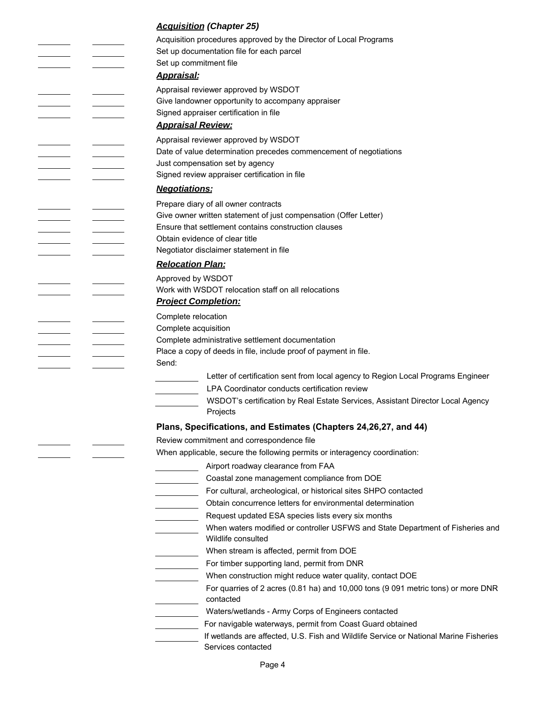# *Acquisition (Chapter 25)*

|  | Acquisition procedures approved by the Director of Local Programs                                    |
|--|------------------------------------------------------------------------------------------------------|
|  | Set up documentation file for each parcel                                                            |
|  | Set up commitment file                                                                               |
|  | <b>Appraisal:</b>                                                                                    |
|  | Appraisal reviewer approved by WSDOT                                                                 |
|  | Give landowner opportunity to accompany appraiser                                                    |
|  | Signed appraiser certification in file                                                               |
|  | <b>Appraisal Review:</b>                                                                             |
|  | Appraisal reviewer approved by WSDOT                                                                 |
|  | Date of value determination precedes commencement of negotiations                                    |
|  | Just compensation set by agency                                                                      |
|  | Signed review appraiser certification in file                                                        |
|  | <b>Negotiations:</b>                                                                                 |
|  | Prepare diary of all owner contracts                                                                 |
|  | Give owner written statement of just compensation (Offer Letter)                                     |
|  | Ensure that settlement contains construction clauses                                                 |
|  | Obtain evidence of clear title                                                                       |
|  | Negotiator disclaimer statement in file                                                              |
|  | <b>Relocation Plan:</b>                                                                              |
|  | Approved by WSDOT                                                                                    |
|  | Work with WSDOT relocation staff on all relocations                                                  |
|  | <b>Project Completion:</b>                                                                           |
|  | Complete relocation                                                                                  |
|  | Complete acquisition                                                                                 |
|  | Complete administrative settlement documentation                                                     |
|  | Place a copy of deeds in file, include proof of payment in file.                                     |
|  | Send:                                                                                                |
|  | Letter of certification sent from local agency to Region Local Programs Engineer                     |
|  | LPA Coordinator conducts certification review                                                        |
|  | WSDOT's certification by Real Estate Services, Assistant Director Local Agency<br>Projects           |
|  | Plans, Specifications, and Estimates (Chapters 24, 26, 27, and 44)                                   |
|  | Review commitment and correspondence file                                                            |
|  | When applicable, secure the following permits or interagency coordination:                           |
|  | Airport roadway clearance from FAA                                                                   |
|  | Coastal zone management compliance from DOE                                                          |
|  | For cultural, archeological, or historical sites SHPO contacted                                      |
|  | Obtain concurrence letters for environmental determination                                           |
|  | Request updated ESA species lists every six months                                                   |
|  | When waters modified or controller USFWS and State Department of Fisheries and<br>Wildlife consulted |
|  | When stream is affected, permit from DOE                                                             |
|  | For timber supporting land, permit from DNR                                                          |
|  | When construction might reduce water quality, contact DOE                                            |
|  | For quarries of 2 acres (0.81 ha) and 10,000 tons (9 091 metric tons) or more DNR<br>contacted       |
|  | Waters/wetlands - Army Corps of Engineers contacted                                                  |
|  | For navigable waterways, permit from Coast Guard obtained                                            |
|  | If wetlands are affected, U.S. Fish and Wildlife Service or National Marine Fisheries                |
|  | Services contacted                                                                                   |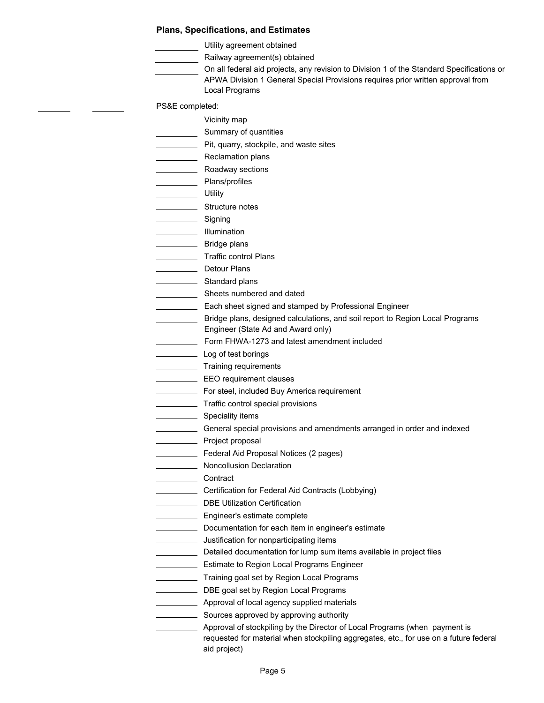#### **Plans, Specifications, and Estimates**

Utility agreement obtained

Railway agreement(s) obtained

On all federal aid projects, any revision to Division 1 of the Standard Specifications or APWA Division 1 General Special Provisions requires prior written approval from Local Programs

PS&E completed:

Vicinity map

- Summary of quantities
- Pit, quarry, stockpile, and waste sites
- Reclamation plans
- **ENSILEE SECTION** Roadway sections
- **Example 3** Plans/profiles
- Utility
- **EXECUTE:** Structure notes
	- $\equiv$  Signing
- **Illumination**
- **EXALLER** Bridge plans
- **Traffic control Plans**
- \_ Detour Plans
- Standard plans
- Sheets numbered and dated
- **Each sheet signed and stamped by Professional Engineer**
- Bridge plans, designed calculations, and soil report to Region Local Programs Engineer (State Ad and Award only)
- Form FHWA-1273 and latest amendment included
- Log of test borings
- **Training requirements**
- **EEO** requirement clauses
- **EXECUTE:** For steel, included Buy America requirement
	- **Traffic control special provisions** 
		- $\equiv$  Speciality items
	- General special provisions and amendments arranged in order and indexed
- **EXALLER** Project proposal
	- Federal Aid Proposal Notices (2 pages)
- Noncollusion Declaration
- Louise Contract
	- Certification for Federal Aid Contracts (Lobbying)
- DBE Utilization Certification
- **Engineer's estimate complete**
- Documentation for each item in engineer's estimate
- **Justification for nonparticipating items**
- Detailed documentation for lump sum items available in project files
- **Estimate to Region Local Programs Engineer**
- **Training goal set by Region Local Programs**
- **DBE goal set by Region Local Programs**
- **Approval of local agency supplied materials**
- Sources approved by approving authority
	- Approval of stockpiling by the Director of Local Programs (when payment is requested for material when stockpiling aggregates, etc., for use on a future federal aid project)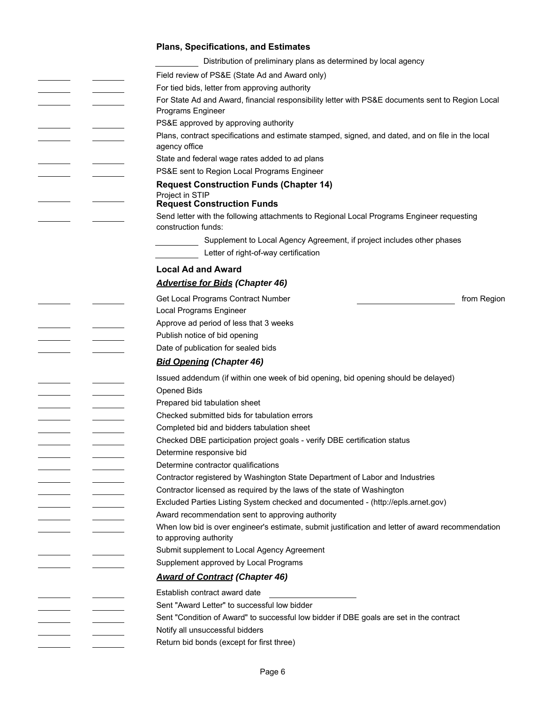| <b>Plans, Specifications, and Estimates</b>                                                                       |
|-------------------------------------------------------------------------------------------------------------------|
| Distribution of preliminary plans as determined by local agency                                                   |
| Field review of PS&E (State Ad and Award only)                                                                    |
| For tied bids, letter from approving authority                                                                    |
| For State Ad and Award, financial responsibility letter with PS&E documents sent to Region Local                  |
| Programs Engineer                                                                                                 |
| PS&E approved by approving authority                                                                              |
| Plans, contract specifications and estimate stamped, signed, and dated, and on file in the local<br>agency office |
| State and federal wage rates added to ad plans                                                                    |
| PS&E sent to Region Local Programs Engineer                                                                       |
| <b>Request Construction Funds (Chapter 14)</b>                                                                    |
| Project in STIP<br><b>Request Construction Funds</b>                                                              |
| Send letter with the following attachments to Regional Local Programs Engineer requesting<br>construction funds:  |
| Supplement to Local Agency Agreement, if project includes other phases                                            |
| Letter of right-of-way certification                                                                              |
| <b>Local Ad and Award</b>                                                                                         |
| <b>Advertise for Bids (Chapter 46)</b>                                                                            |
| Get Local Programs Contract Number<br>from Region                                                                 |
| Local Programs Engineer                                                                                           |
| Approve ad period of less that 3 weeks                                                                            |
| Publish notice of bid opening                                                                                     |
| Date of publication for sealed bids                                                                               |
| <b>Bid Opening (Chapter 46)</b>                                                                                   |
| Issued addendum (if within one week of bid opening, bid opening should be delayed)                                |
| <b>Opened Bids</b>                                                                                                |
| Prepared bid tabulation sheet                                                                                     |
| Checked submitted bids for tabulation errors                                                                      |
| Completed bid and bidders tabulation sheet                                                                        |
| Checked DBE participation project goals - verify DBE certification status                                         |
| Determine responsive bid                                                                                          |
| Determine contractor qualifications                                                                               |
| Contractor registered by Washington State Department of Labor and Industries                                      |
| Contractor licensed as required by the laws of the state of Washington                                            |
| Excluded Parties Listing System checked and documented - (http://epls.arnet.gov)                                  |
| Award recommendation sent to approving authority                                                                  |
| When low bid is over engineer's estimate, submit justification and letter of award recommendation                 |
| to approving authority                                                                                            |
| Submit supplement to Local Agency Agreement                                                                       |
| Supplement approved by Local Programs                                                                             |
| <b>Award of Contract (Chapter 46)</b>                                                                             |
| Establish contract award date                                                                                     |
| Sent "Award Letter" to successful low bidder                                                                      |
| Sent "Condition of Award" to successful low bidder if DBE goals are set in the contract                           |
| Notify all unsuccessful bidders                                                                                   |
| Return bid bonds (except for first three)                                                                         |
|                                                                                                                   |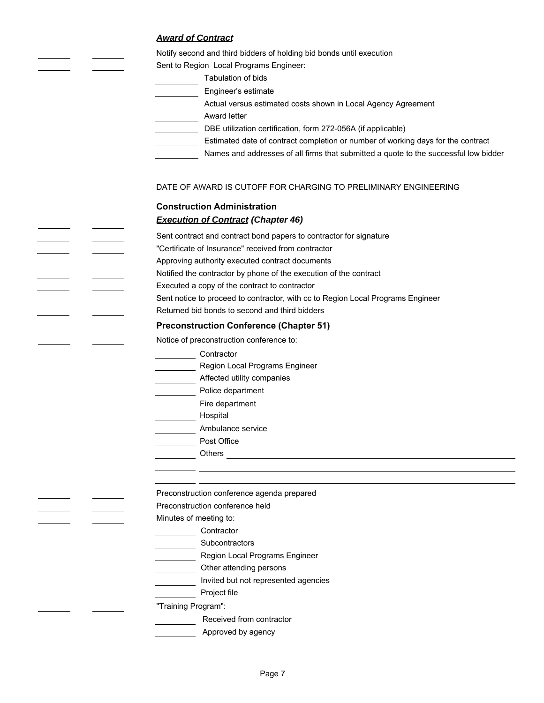## *Award of Contract*

Notify second and third bidders of holding bid bonds until execution

Sent to Region Local Programs Engineer:

- Tabulation of bids
- **Engineer's estimate**

Actual versus estimated costs shown in Local Agency Agreement

**Award letter** 

- DBE utilization certification, form 272-056A (if applicable)
- **Estimated date of contract completion or number of working days for the contract**

Names and addresses of all firms that submitted a quote to the successful low bidder

## DATE OF AWARD IS CUTOFF FOR CHARGING TO PRELIMINARY ENGINEERING

## **Construction Administration** *Execution of Contract (Chapter 46)*

Sent contract and contract bond papers to contractor for signature "Certificate of Insurance" received from contractor Approving authority executed contract documents

- Notified the contractor by phone of the execution of the contract
- Executed a copy of the contract to contractor
- Sent notice to proceed to contractor, with cc to Region Local Programs Engineer
- Returned bid bonds to second and third bidders

## **Preconstruction Conference (Chapter 51)**

Notice of preconstruction conference to:

- Lackenburg Contractor
- **Manuel Programs Engineer**
- Affected utility companies
- **Notice department**
- **Exercise Elite department**
- **Hospital**
- **Ambulance service** 
	- Post Office
	- Others **Outlet and Containers** and Containers and Containers and Containers and Containers and Containers and Containers and Containers and Containers and Containers and Containers and Containers and Containers and Contain

Preconstruction conference agenda prepared

Preconstruction conference held

Minutes of meeting to:

- **Contractor**
- Subcontractors
- **ENETA:** Region Local Programs Engineer
- Other attending persons
- **Invited but not represented agencies**
- **Example 2** Project file

"Training Program":

- Received from contractor
- **Approved by agency**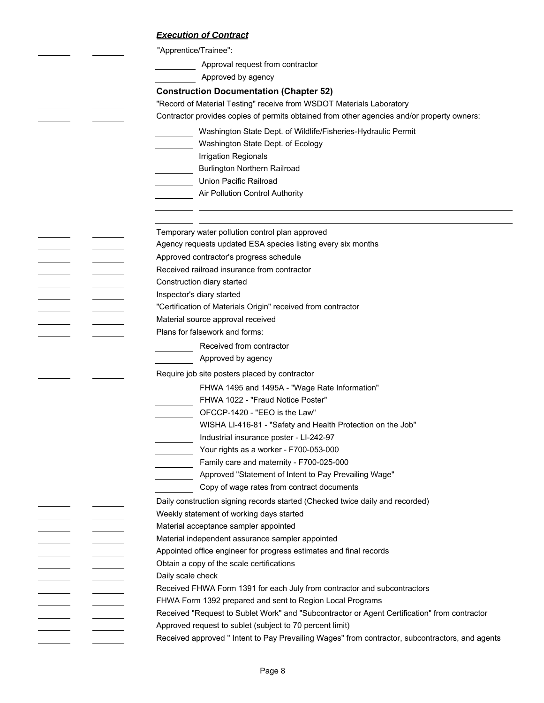### *Execution of Contract*

"Apprentice/Trainee":

Approval request from contractor

Approved by agency

#### **Construction Documentation (Chapter 52)**

"Record of Material Testing" receive from WSDOT Materials Laboratory

Contractor provides copies of permits obtained from other agencies and/or property owners:

- Washington State Dept. of Wildlife/Fisheries-Hydraulic Permit
- Washington State Dept. of Ecology
- **Irrigation Regionals**
- **Example 3** Burlington Northern Railroad
- Union Pacific Railroad
	- Air Pollution Control Authority

Temporary water pollution control plan approved

Agency requests updated ESA species listing every six months

- Approved contractor's progress schedule
- Received railroad insurance from contractor
- Construction diary started
- Inspector's diary started
- "Certification of Materials Origin" received from contractor
	- Material source approval received
- Plans for falsework and forms:
	- Received from contractor
	- **Approved by agency**

Require job site posters placed by contractor

FHWA 1495 and 1495A - "Wage Rate Information"

- FHWA 1022 "Fraud Notice Poster"
- OFCCP-1420 "EEO is the Law"
- WISHA LI-416-81 "Safety and Health Protection on the Job"
- Industrial insurance poster LI-242-97
- Your rights as a worker F700-053-000
- Family care and maternity F700-025-000
	- Approved "Statement of Intent to Pay Prevailing Wage"
	- Copy of wage rates from contract documents
- Daily construction signing records started (Checked twice daily and recorded)
- Weekly statement of working days started
- Material acceptance sampler appointed
- Material independent assurance sampler appointed
- Appointed office engineer for progress estimates and final records
- Obtain a copy of the scale certifications
- Daily scale check
- Received FHWA Form 1391 for each July from contractor and subcontractors
- FHWA Form 1392 prepared and sent to Region Local Programs
- Received "Request to Sublet Work" and "Subcontractor or Agent Certification" from contractor Approved request to sublet (subject to 70 percent limit)
	- Received approved " Intent to Pay Prevailing Wages" from contractor, subcontractors, and agents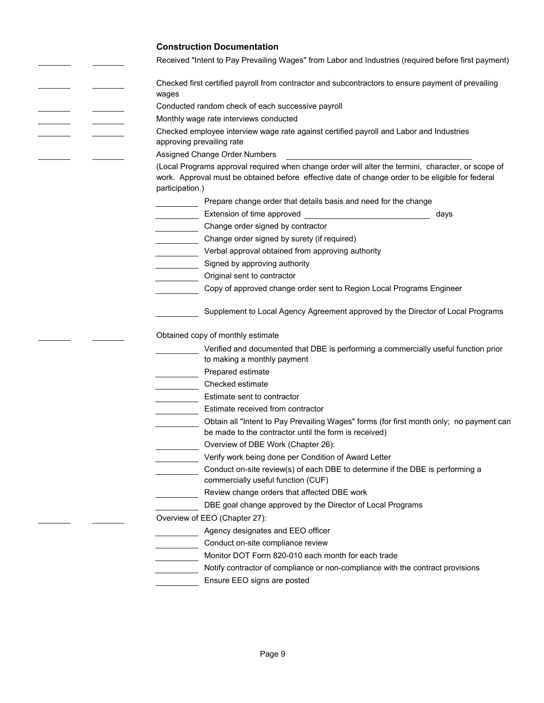## **Construction Documentation**

 $\frac{1}{2} \left( \frac{1}{2} \right) \left( \frac{1}{2} \right) \left( \frac{1}{2} \right) \left( \frac{1}{2} \right) \left( \frac{1}{2} \right) \left( \frac{1}{2} \right) \left( \frac{1}{2} \right) \left( \frac{1}{2} \right) \left( \frac{1}{2} \right) \left( \frac{1}{2} \right) \left( \frac{1}{2} \right) \left( \frac{1}{2} \right) \left( \frac{1}{2} \right) \left( \frac{1}{2} \right) \left( \frac{1}{2} \right) \left( \frac{1}{2} \right) \left( \frac$ 

 $\mathcal{L}^{\text{max}}$  $\frac{1}{2}$  $\sim 10^{-1}$ 

 $\frac{1}{1} \left( \frac{1}{1} \right)^{2} \left( \frac{1}{1} \right)^{2} \left( \frac{1}{1} \right)^{2} \left( \frac{1}{1} \right)^{2} \left( \frac{1}{1} \right)^{2} \left( \frac{1}{1} \right)^{2} \left( \frac{1}{1} \right)^{2} \left( \frac{1}{1} \right)^{2} \left( \frac{1}{1} \right)^{2} \left( \frac{1}{1} \right)^{2} \left( \frac{1}{1} \right)^{2} \left( \frac{1}{1} \right)^{2} \left( \frac{1}{1} \right)^{2} \left( \frac$ 

 $\frac{1}{2} \left( \frac{1}{2} \right) \left( \frac{1}{2} \right) \left( \frac{1}{2} \right) \left( \frac{1}{2} \right) \left( \frac{1}{2} \right) \left( \frac{1}{2} \right) \left( \frac{1}{2} \right) \left( \frac{1}{2} \right) \left( \frac{1}{2} \right) \left( \frac{1}{2} \right) \left( \frac{1}{2} \right) \left( \frac{1}{2} \right) \left( \frac{1}{2} \right) \left( \frac{1}{2} \right) \left( \frac{1}{2} \right) \left( \frac{1}{2} \right) \left( \frac$ 

Received "Intent to Pay Prevailing Wages" from Labor and Industries (required before first payment)

| Received "Intent to Pay Prevailing Wages" from Labor and Industries (required before first payment)                                                                                                                       |
|---------------------------------------------------------------------------------------------------------------------------------------------------------------------------------------------------------------------------|
| Checked first certified payroll from contractor and subcontractors to ensure payment of prevailing                                                                                                                        |
| wages                                                                                                                                                                                                                     |
| Conducted random check of each successive payroll                                                                                                                                                                         |
| Monthly wage rate interviews conducted                                                                                                                                                                                    |
| Checked employee interview wage rate against certified payroll and Labor and Industries                                                                                                                                   |
| approving prevailing rate                                                                                                                                                                                                 |
| Assigned Change Order Numbers                                                                                                                                                                                             |
| (Local Programs approval required when change order will alter the termini, character, or scope of<br>work. Approval must be obtained before effective date of change order to be eligible for federal<br>participation.) |
| Prepare change order that details basis and need for the change                                                                                                                                                           |
| days                                                                                                                                                                                                                      |
| Change order signed by contractor                                                                                                                                                                                         |
| Change order signed by surety (if required)                                                                                                                                                                               |
| Verbal approval obtained from approving authority                                                                                                                                                                         |
| Signed by approving authority                                                                                                                                                                                             |
| Original sent to contractor                                                                                                                                                                                               |
| Copy of approved change order sent to Region Local Programs Engineer                                                                                                                                                      |
| Supplement to Local Agency Agreement approved by the Director of Local Programs                                                                                                                                           |
| Obtained copy of monthly estimate                                                                                                                                                                                         |
| Verified and documented that DBE is performing a commercially useful function prior                                                                                                                                       |
| to making a monthly payment                                                                                                                                                                                               |
| Prepared estimate                                                                                                                                                                                                         |
| Checked estimate<br><u>and the state of the state</u>                                                                                                                                                                     |
| Estimate sent to contractor                                                                                                                                                                                               |
| Estimate received from contractor                                                                                                                                                                                         |
| Obtain all "Intent to Pay Prevailing Wages" forms (for first month only; no payment can<br>be made to the contractor until the form is received)                                                                          |
| Overview of DBE Work (Chapter 26):                                                                                                                                                                                        |
| Verify work being done per Condition of Award Letter                                                                                                                                                                      |
| Conduct on-site review(s) of each DBE to determine if the DBE is performing a                                                                                                                                             |
| commercially useful function (CUF)                                                                                                                                                                                        |
| Review change orders that affected DBE work                                                                                                                                                                               |
| DBE goal change approved by the Director of Local Programs                                                                                                                                                                |
| Overview of EEO (Chapter 27):                                                                                                                                                                                             |
| Agency designates and EEO officer                                                                                                                                                                                         |
| Conduct on-site compliance review                                                                                                                                                                                         |
| Monitor DOT Form 820-010 each month for each trade                                                                                                                                                                        |
| Notify contractor of compliance or non-compliance with the contract provisions                                                                                                                                            |
| Ensure EEO signs are posted                                                                                                                                                                                               |
|                                                                                                                                                                                                                           |